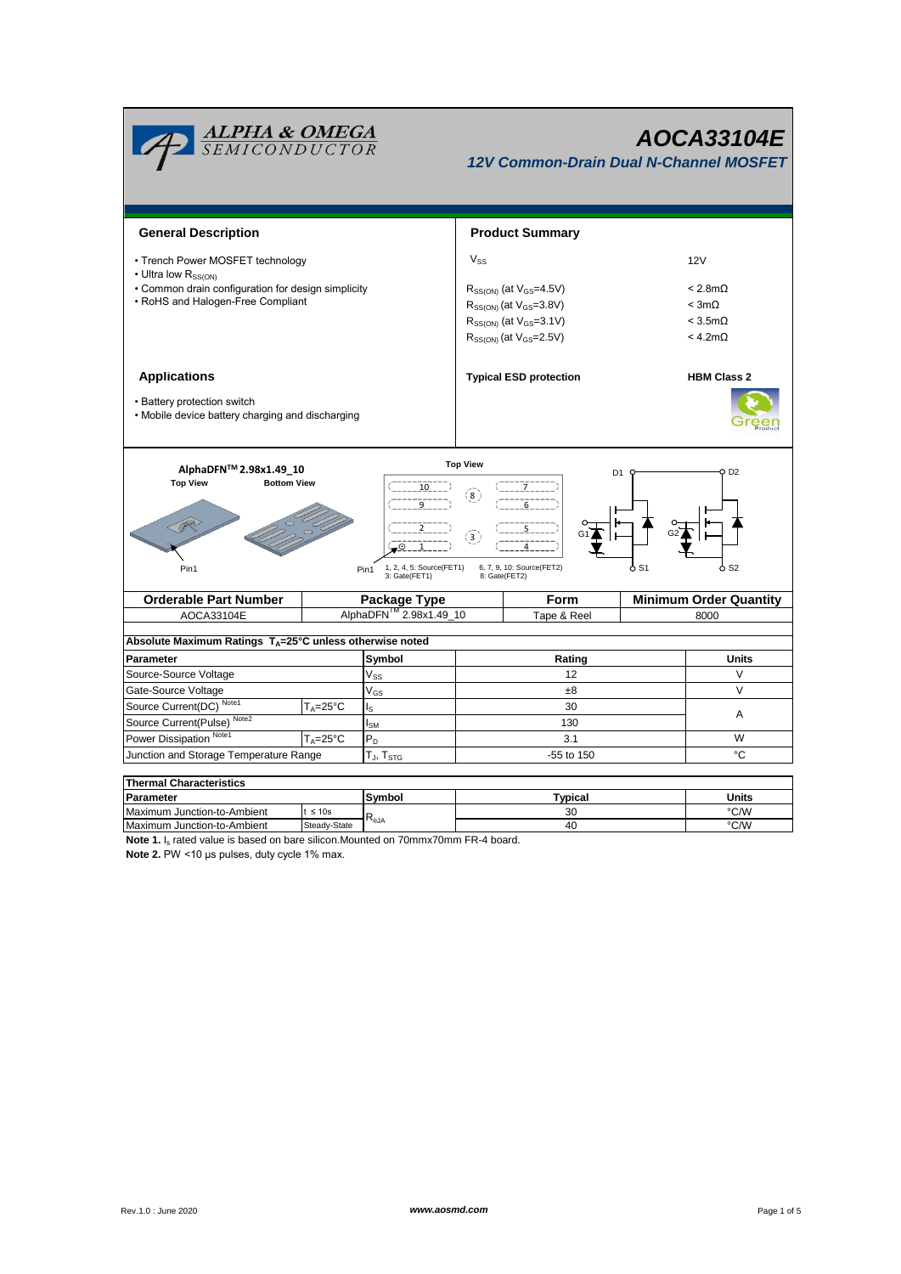

## *AOCA33104E*

*12V Common-Drain Dual N-Channel MOSFET*

| <b>General Description</b>                                                                                                                                                                                                                                                     |                                    |                                                                        |             | <b>Product Summary</b>           |                               |                        |  |  |  |
|--------------------------------------------------------------------------------------------------------------------------------------------------------------------------------------------------------------------------------------------------------------------------------|------------------------------------|------------------------------------------------------------------------|-------------|----------------------------------|-------------------------------|------------------------|--|--|--|
| • Trench Power MOSFET technology                                                                                                                                                                                                                                               |                                    |                                                                        |             |                                  | 12V                           |                        |  |  |  |
| • Ultra low R <sub>SSION</sub><br>• Common drain configuration for design simplicity                                                                                                                                                                                           |                                    |                                                                        |             | $R_{SS(ON)}$ (at $V_{GS}$ =4.5V) |                               | $< 2.8 \text{m}\Omega$ |  |  |  |
| • RoHS and Halogen-Free Compliant                                                                                                                                                                                                                                              |                                    |                                                                        |             | $R_{SS(ON)}$ (at $V_{GS}$ =3.8V) | $<$ 3m $\Omega$               |                        |  |  |  |
|                                                                                                                                                                                                                                                                                |                                    |                                                                        |             |                                  | $<$ 3.5m $\Omega$             |                        |  |  |  |
|                                                                                                                                                                                                                                                                                |                                    | $R_{SS(ON)}$ (at $V_{GS} = 3.1V$ )<br>$R_{SS(ON)}$ (at $V_{GS}$ =2.5V) |             |                                  | < 4.2 m <sub>Ω</sub>          |                        |  |  |  |
|                                                                                                                                                                                                                                                                                |                                    |                                                                        |             |                                  |                               |                        |  |  |  |
| <b>Applications</b>                                                                                                                                                                                                                                                            |                                    |                                                                        |             | <b>Typical ESD protection</b>    | <b>HBM Class 2</b>            |                        |  |  |  |
| • Battery protection switch<br>• Mobile device battery charging and discharging                                                                                                                                                                                                |                                    |                                                                        |             |                                  |                               |                        |  |  |  |
| <b>Top View</b><br>AlphaDFN™ 2.98x1.49 10<br>Q D2<br>D <sub>1</sub><br><b>Top View</b><br><b>Bottom View</b><br>10<br>(8)<br>$\binom{3}{ }$<br>-⊙ 1<br>6, 7, 9, 10: Source(FET2)<br>ბ S1<br>ბ s2<br>1, 2, 4, 5: Source(FET1)<br>Pin1<br>Pin1<br>3: Gate(FET1)<br>8: Gate(FET2) |                                    |                                                                        |             |                                  |                               |                        |  |  |  |
| <b>Orderable Part Number</b><br>Package Type                                                                                                                                                                                                                                   |                                    |                                                                        |             | Form                             | <b>Minimum Order Quantity</b> |                        |  |  |  |
| AOCA33104E                                                                                                                                                                                                                                                                     | AlphaDFN <sup>™</sup> 2.98x1.49_10 |                                                                        | Tape & Reel |                                  |                               | 8000                   |  |  |  |
| Absolute Maximum Ratings T <sub>A</sub> =25°C unless otherwise noted                                                                                                                                                                                                           |                                    |                                                                        |             |                                  |                               |                        |  |  |  |
| Parameter                                                                                                                                                                                                                                                                      |                                    | Symbol                                                                 |             | Rating                           |                               | <b>Units</b>           |  |  |  |
| Source-Source Voltage                                                                                                                                                                                                                                                          |                                    | $V_{SS}$                                                               |             | 12                               |                               | $\vee$                 |  |  |  |
| Gate-Source Voltage                                                                                                                                                                                                                                                            |                                    | $V_{GS}$                                                               |             | $_{\pm 8}$                       |                               | V                      |  |  |  |
| Source Current(DC) Note1<br>$T_{A} = 25^{\circ}C$<br>ls                                                                                                                                                                                                                        |                                    | 30                                                                     |             |                                  |                               |                        |  |  |  |
| Source Current(Pulse) <sup>Note2</sup><br>$I_{\text{SM}}$                                                                                                                                                                                                                      |                                    |                                                                        | 130         |                                  |                               | Α                      |  |  |  |
| Power Dissipation Note1<br>$T_A = 25^{\circ}C$<br>$P_D$                                                                                                                                                                                                                        |                                    | 3.1                                                                    |             |                                  | W                             |                        |  |  |  |
| Junction and Storage Temperature Range<br>$T_{J}$ , $T_{STG}$                                                                                                                                                                                                                  |                                    |                                                                        | -55 to 150  |                                  |                               | °C                     |  |  |  |
|                                                                                                                                                                                                                                                                                |                                    |                                                                        |             |                                  |                               |                        |  |  |  |

**Symbol** t ≤ 10s Steady-State **Thermal Characteristics** Maximum Junction-to-Ambient t ≤ 10s<br>
Maximum Junction-to-Ambient Steady-State R<sub>BJA</sub> and the company of the company of the company of the company of the company of the company of the company of the company of the company **Parameter Units Typical** 30 40

**Note 1.** I<sub>s</sub> rated value is based on bare silicon.Mounted on 70mmx70mm FR-4 board. **Note 2.** PW <10 μs pulses, duty cycle 1% max.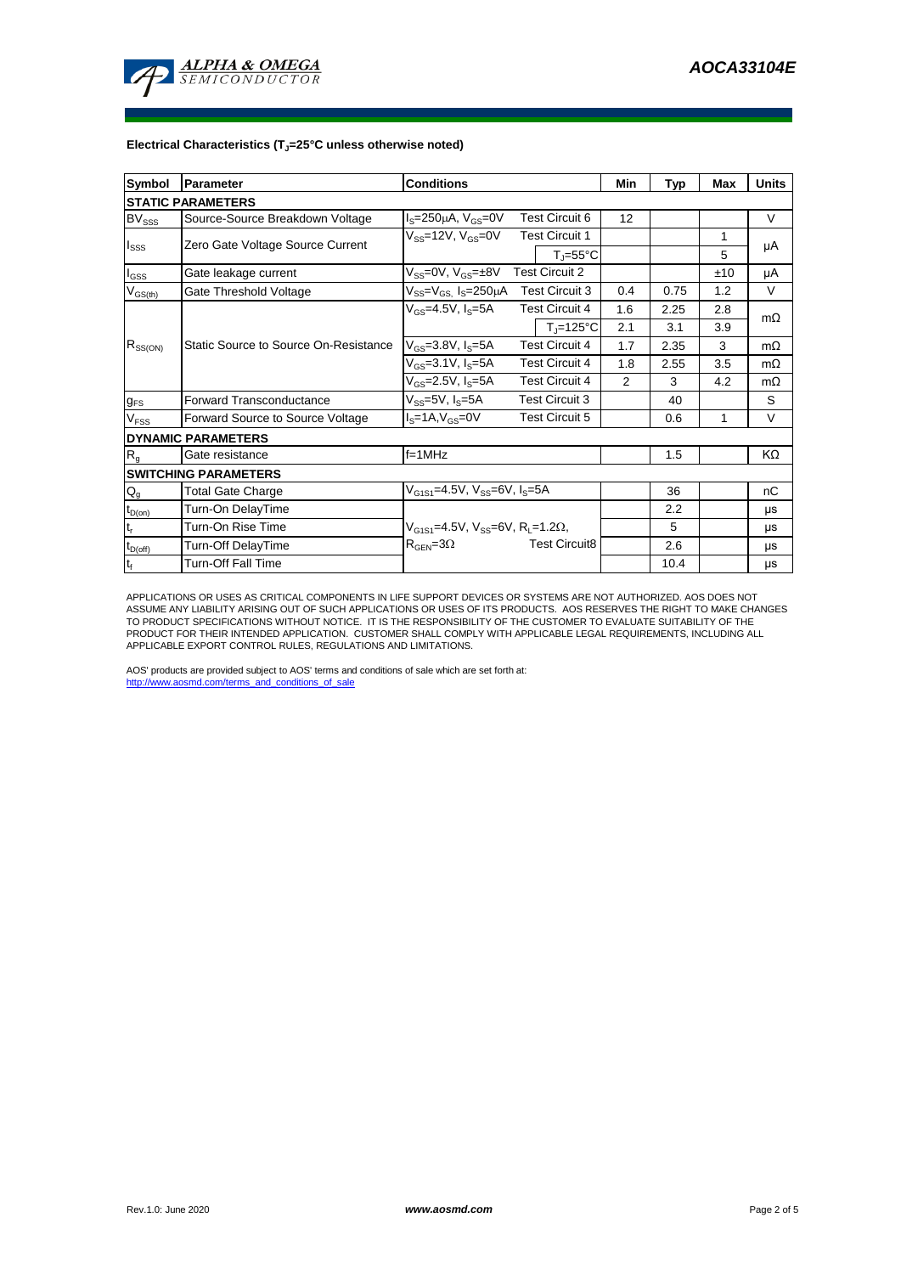

## **Electrical Characteristics (TJ=25°C unless otherwise noted)**

| Symbol                      | Parameter                                                                          | <b>Conditions</b>                                            |                                | Min | Typ  | Max | <b>Units</b> |  |  |  |  |  |  |
|-----------------------------|------------------------------------------------------------------------------------|--------------------------------------------------------------|--------------------------------|-----|------|-----|--------------|--|--|--|--|--|--|
| <b>STATIC PARAMETERS</b>    |                                                                                    |                                                              |                                |     |      |     |              |  |  |  |  |  |  |
| <b>BV</b> <sub>SSS</sub>    | Source-Source Breakdown Voltage                                                    | <b>Test Circuit 6</b><br>$IS=250µA, VGS=0V$                  |                                | 12  |      |     | V            |  |  |  |  |  |  |
| $I_{SSS}$                   | Zero Gate Voltage Source Current                                                   | $V_{SS}$ =12V, $V_{GS}$ =0V                                  | <b>Test Circuit 1</b>          |     |      | 1   | μA           |  |  |  |  |  |  |
|                             |                                                                                    |                                                              | $T_i = 55^{\circ}C$            |     |      | 5   |              |  |  |  |  |  |  |
| $I_{GSS}$                   | <b>Test Circuit 2</b><br>$V_{SS}$ =0V, $V_{GS}$ = $\pm$ 8V<br>Gate leakage current |                                                              |                                |     |      | ±10 | μA           |  |  |  |  |  |  |
| $V_{GS(th)}$                | Gate Threshold Voltage                                                             | $V_{SS} = V_{GS}$ $I_S = 250 \mu A$<br><b>Test Circuit 3</b> |                                | 0.4 | 0.75 | 1.2 | $\vee$       |  |  |  |  |  |  |
| $R_{SS(ON)}$                |                                                                                    | $V_{GS}$ =4.5V, $I_S$ =5A                                    | <b>Test Circuit 4</b>          | 1.6 | 2.25 | 2.8 | $m\Omega$    |  |  |  |  |  |  |
|                             |                                                                                    |                                                              | $T_{\parallel} = 125^{\circ}C$ | 2.1 | 3.1  | 3.9 |              |  |  |  |  |  |  |
|                             | Static Source to Source On-Resistance                                              | $V_{GS} = 3.8 V, I_S = 5A$                                   | <b>Test Circuit 4</b>          | 1.7 | 2.35 | 3   | $m\Omega$    |  |  |  |  |  |  |
|                             |                                                                                    | $V_{GS} = 3.1 V, I_S = 5A$                                   | <b>Test Circuit 4</b>          | 1.8 | 2.55 | 3.5 | $m\Omega$    |  |  |  |  |  |  |
|                             |                                                                                    | $V_{GS}$ =2.5V, $I_S$ =5A                                    | <b>Test Circuit 4</b>          | 2   | 3    | 4.2 | $m\Omega$    |  |  |  |  |  |  |
| $g_{FS}$                    | Forward Transconductance                                                           | $V_{SS} = 5V$ , $I_S = 5A$                                   | <b>Test Circuit 3</b>          |     | 40   |     | S            |  |  |  |  |  |  |
| V <sub>FSS</sub>            | Forward Source to Source Voltage                                                   | $IS=1A, VGS=0V$<br><b>Test Circuit 5</b>                     |                                |     | 0.6  | 1   | $\vee$       |  |  |  |  |  |  |
| <b>DYNAMIC PARAMETERS</b>   |                                                                                    |                                                              |                                |     |      |     |              |  |  |  |  |  |  |
| R <sub>g</sub>              | Gate resistance                                                                    | $f=1$ MHz                                                    |                                |     | 1.5  |     | KΩ           |  |  |  |  |  |  |
| <b>SWITCHING PARAMETERS</b> |                                                                                    |                                                              |                                |     |      |     |              |  |  |  |  |  |  |
| $\mathsf{Q}_{\mathsf{g}}$   | <b>Total Gate Charge</b>                                                           | $V_{G1S1} = 4.5V$ , $V_{SS} = 6V$ , $I_S = 5A$               |                                |     | 36   |     | nC           |  |  |  |  |  |  |
| $t_{D(0n)}$                 | Turn-On DelayTime                                                                  |                                                              |                                |     | 2.2  |     | μs           |  |  |  |  |  |  |
| $t_r$                       | Turn-On Rise Time                                                                  | $V_{G1S1} = 4.5V$ , $V_{SS} = 6V$ , $R_1 = 1.2\Omega$ ,      |                                | 5   |      | μs  |              |  |  |  |  |  |  |
| $t_{D(off)}$                | Turn-Off DelayTime                                                                 | $R_{\text{GEN}} = 3\Omega$                                   | <b>Test Circuit8</b>           |     | 2.6  |     | μs           |  |  |  |  |  |  |
| $\mathbf{t}_\text{f}$       | <b>Turn-Off Fall Time</b>                                                          |                                                              |                                |     | 10.4 |     | μs           |  |  |  |  |  |  |

APPLICATIONS OR USES AS CRITICAL COMPONENTS IN LIFE SUPPORT DEVICES OR SYSTEMS ARE NOT AUTHORIZED. AOS DOES NOT ASSUME ANY LIABILITY ARISING OUT OF SUCH APPLICATIONS OR USES OF ITS PRODUCTS. AOS RESERVES THE RIGHT TO MAKE CHANGES TO PRODUCT SPECIFICATIONS WITHOUT NOTICE. IT IS THE RESPONSIBILITY OF THE CUSTOMER TO EVALUATE SUITABILITY OF THE PRODUCT FOR THEIR INTENDED APPLICATION. CUSTOMER SHALL COMPLY WITH APPLICABLE LEGAL REQUIREMENTS, INCLUDING ALL APPLICABLE EXPORT CONTROL RULES, REGULATIONS AND LIMITATIONS.

AOS' products are provided subject to AOS' terms and conditions of sale which are set forth at: http://www.aosmd.com/terms\_and\_conditions\_of\_sale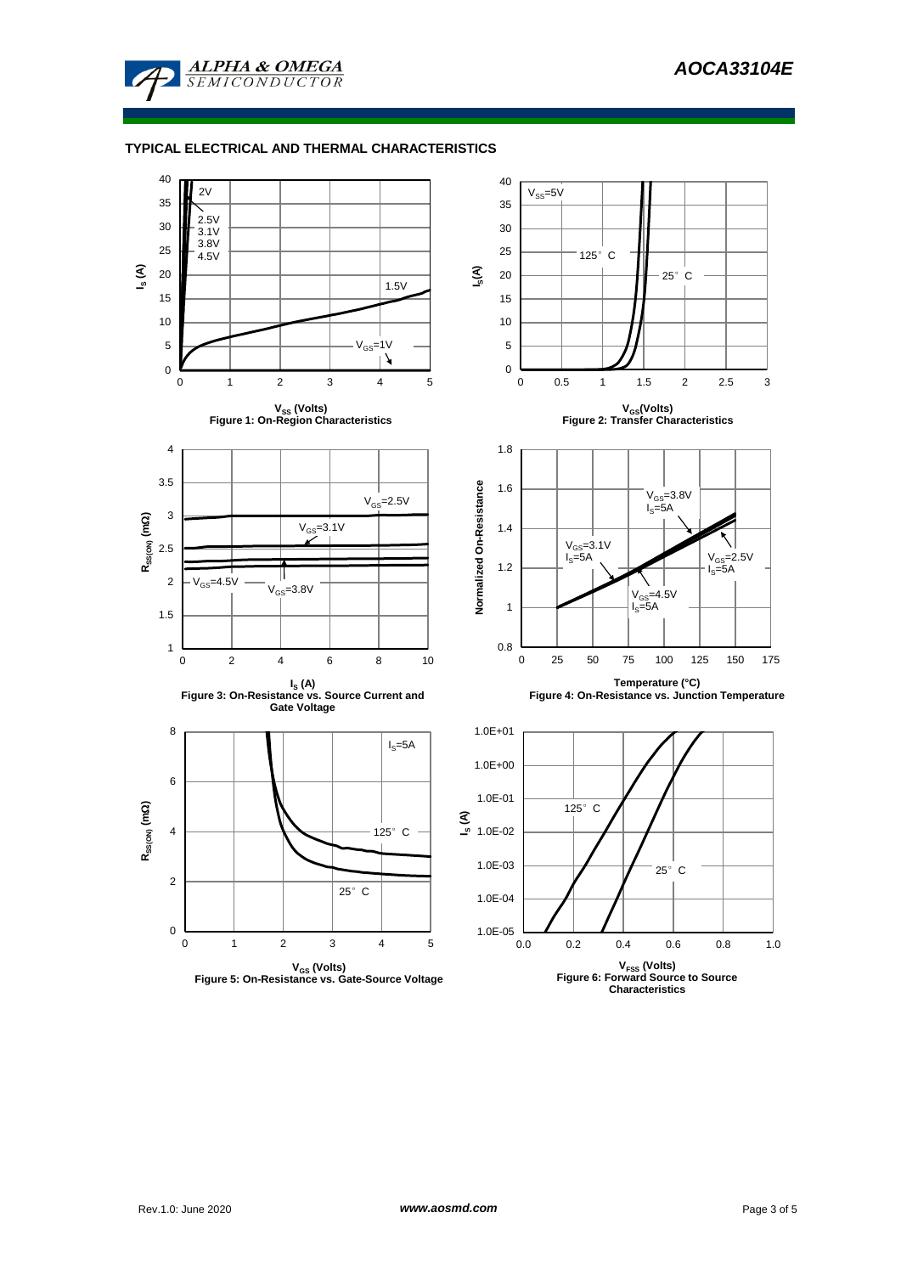

## **TYPICAL ELECTRICAL AND THERMAL CHARACTERISTICS**

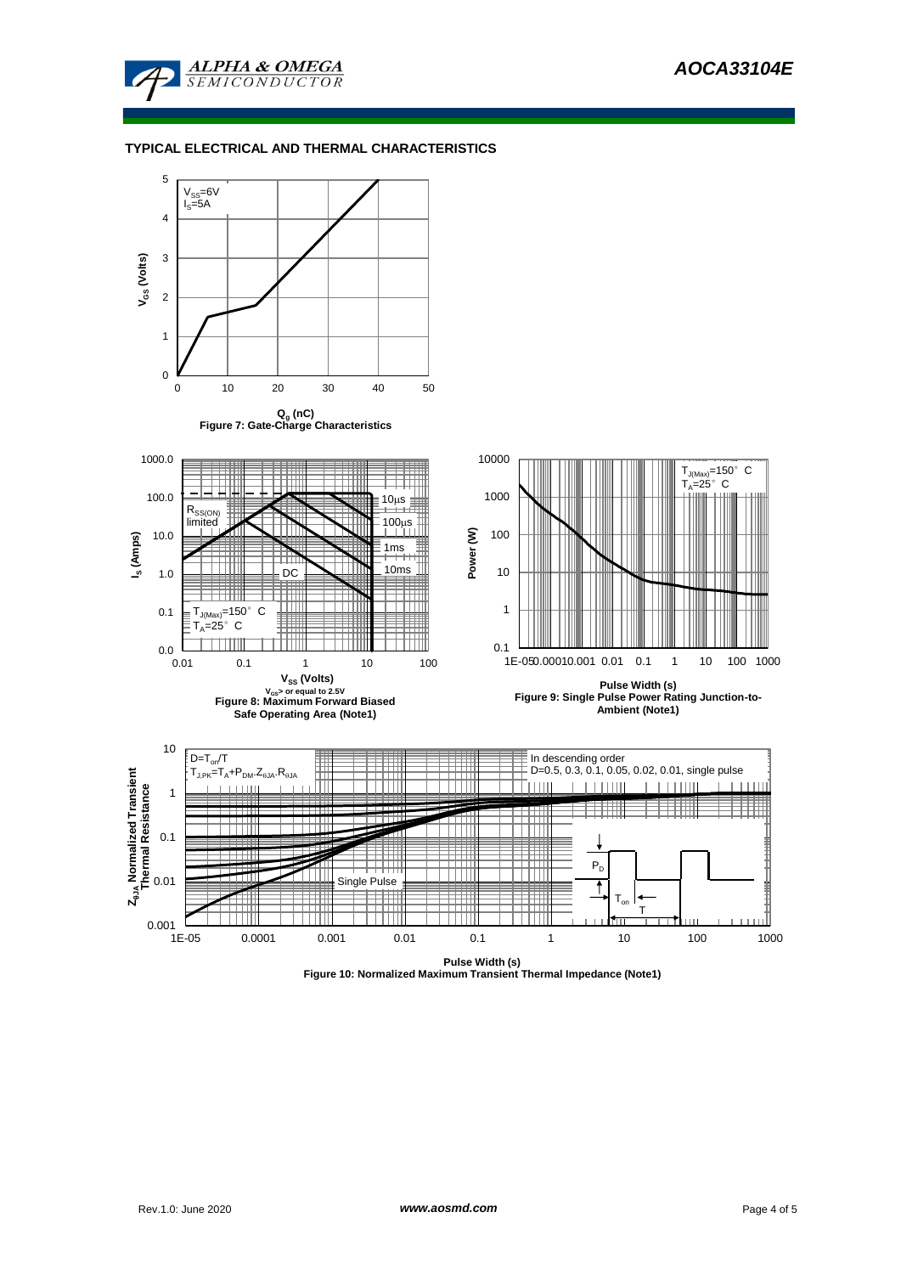

## **TYPICAL ELECTRICAL AND THERMAL CHARACTERISTICS**



**Figure 10: Normalized Maximum Transient Thermal Impedance (Note1)**